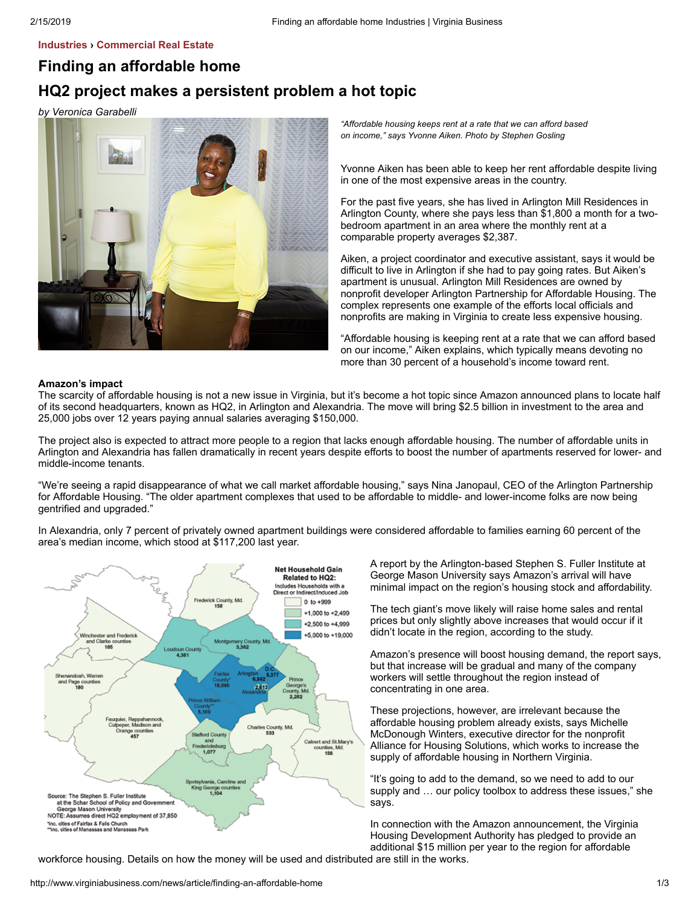## **[Industries](http://www.virginiabusiness.com/news) › [Commercial Real Estate](http://www.virginiabusiness.com/news/category/commercial-real-estate)**

# **Finding an affordable home**

# **HQ2 project makes a persistent problem a hot topic**

*by Veronica Garabelli*



*"Affordable housing keeps rent at a rate that we can afford based on income," says Yvonne Aiken. Photo by Stephen Gosling*

Yvonne Aiken has been able to keep her rent affordable despite living in one of the most expensive areas in the country.

For the past five years, she has lived in Arlington Mill Residences in Arlington County, where she pays less than \$1,800 a month for a twobedroom apartment in an area where the monthly rent at a comparable property averages \$2,387.

Aiken, a project coordinator and executive assistant, says it would be difficult to live in Arlington if she had to pay going rates. But Aiken's apartment is unusual. Arlington Mill Residences are owned by nonprofit developer Arlington Partnership for Affordable Housing. The complex represents one example of the efforts local officials and nonprofits are making in Virginia to create less expensive housing.

"Affordable housing is keeping rent at a rate that we can afford based on our income," Aiken explains, which typically means devoting no more than 30 percent of a household's income toward rent.

### **Amazon's impact**

The scarcity of affordable housing is not a new issue in Virginia, but it's become a hot topic since Amazon announced plans to locate half of its second headquarters, known as HQ2, in Arlington and Alexandria. The move will bring \$2.5 billion in investment to the area and 25,000 jobs over 12 years paying annual salaries averaging \$150,000.

The project also is expected to attract more people to a region that lacks enough affordable housing. The number of affordable units in Arlington and Alexandria has fallen dramatically in recent years despite efforts to boost the number of apartments reserved for lower- and middle-income tenants.

"We're seeing a rapid disappearance of what we call market affordable housing," says Nina Janopaul, CEO of the Arlington Partnership for Affordable Housing. "The older apartment complexes that used to be affordable to middle- and lower-income folks are now being gentrified and upgraded."

In Alexandria, only 7 percent of privately owned apartment buildings were considered affordable to families earning 60 percent of the area's median income, which stood at \$117,200 last year.



A report by the Arlington-based Stephen S. Fuller Institute at George Mason University says Amazon's arrival will have minimal impact on the region's housing stock and affordability.

The tech giant's move likely will raise home sales and rental prices but only slightly above increases that would occur if it didn't locate in the region, according to the study.

Amazon's presence will boost housing demand, the report says, but that increase will be gradual and many of the company workers will settle throughout the region instead of concentrating in one area.

These projections, however, are irrelevant because the affordable housing problem already exists, says Michelle McDonough Winters, executive director for the nonprofit Alliance for Housing Solutions, which works to increase the supply of affordable housing in Northern Virginia.

"It's going to add to the demand, so we need to add to our supply and … our policy toolbox to address these issues," she says.

In connection with the Amazon announcement, the Virginia Housing Development Authority has pledged to provide an additional \$15 million per year to the region for affordable

workforce housing. Details on how the money will be used and distributed are still in the works.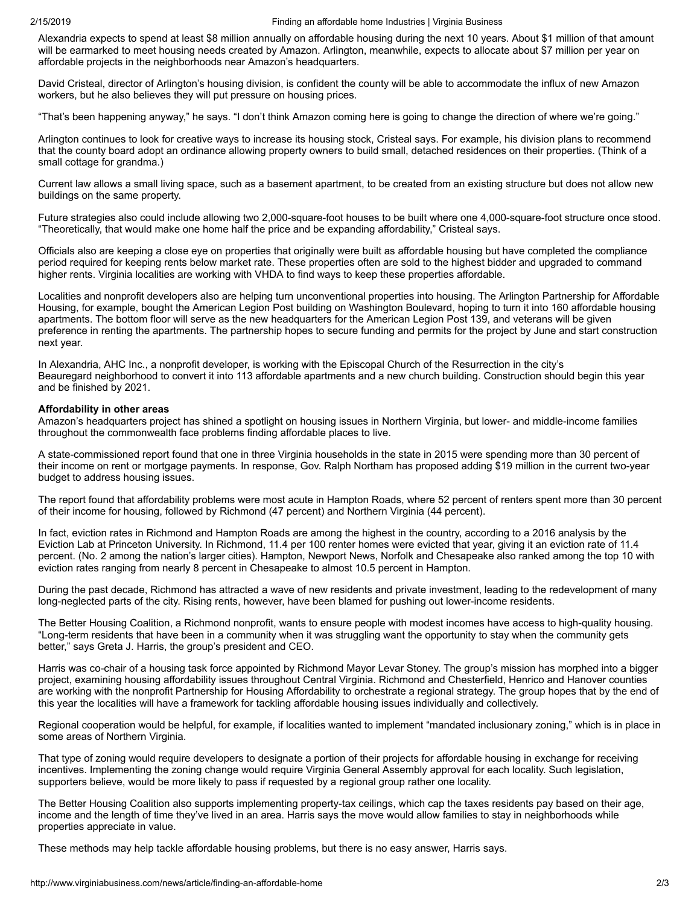Alexandria expects to spend at least \$8 million annually on affordable housing during the next 10 years. About \$1 million of that amount will be earmarked to meet housing needs created by Amazon. Arlington, meanwhile, expects to allocate about \$7 million per year on affordable projects in the neighborhoods near Amazon's headquarters.

David Cristeal, director of Arlington's housing division, is confident the county will be able to accommodate the influx of new Amazon workers, but he also believes they will put pressure on housing prices.

"That's been happening anyway," he says. "I don't think Amazon coming here is going to change the direction of where we're going."

Arlington continues to look for creative ways to increase its housing stock, Cristeal says. For example, his division plans to recommend that the county board adopt an ordinance allowing property owners to build small, detached residences on their properties. (Think of a small cottage for grandma.)

Current law allows a small living space, such as a basement apartment, to be created from an existing structure but does not allow new buildings on the same property.

Future strategies also could include allowing two 2,000-square-foot houses to be built where one 4,000-square-foot structure once stood. "Theoretically, that would make one home half the price and be expanding affordability," Cristeal says.

Officials also are keeping a close eye on properties that originally were built as affordable housing but have completed the compliance period required for keeping rents below market rate. These properties often are sold to the highest bidder and upgraded to command higher rents. Virginia localities are working with VHDA to find ways to keep these properties affordable.

Localities and nonprofit developers also are helping turn unconventional properties into housing. The Arlington Partnership for Affordable Housing, for example, bought the American Legion Post building on Washington Boulevard, hoping to turn it into 160 affordable housing apartments. The bottom floor will serve as the new headquarters for the American Legion Post 139, and veterans will be given preference in renting the apartments. The partnership hopes to secure funding and permits for the project by June and start construction next year.

In Alexandria, AHC Inc., a nonprofit developer, is working with the Episcopal Church of the Resurrection in the city's Beauregard neighborhood to convert it into 113 affordable apartments and a new church building. Construction should begin this year and be finished by 2021.

#### **Affordability in other areas**

Amazon's headquarters project has shined a spotlight on housing issues in Northern Virginia, but lower- and middle-income families throughout the commonwealth face problems finding affordable places to live.

A state-commissioned report found that one in three Virginia households in the state in 2015 were spending more than 30 percent of their income on rent or mortgage payments. In response, Gov. Ralph Northam has proposed adding \$19 million in the current two-year budget to address housing issues.

The report found that affordability problems were most acute in Hampton Roads, where 52 percent of renters spent more than 30 percent of their income for housing, followed by Richmond (47 percent) and Northern Virginia (44 percent).

In fact, eviction rates in Richmond and Hampton Roads are among the highest in the country, according to a 2016 analysis by the Eviction Lab at Princeton University. In Richmond, 11.4 per 100 renter homes were evicted that year, giving it an eviction rate of 11.4 percent. (No. 2 among the nation's larger cities). Hampton, Newport News, Norfolk and Chesapeake also ranked among the top 10 with eviction rates ranging from nearly 8 percent in Chesapeake to almost 10.5 percent in Hampton.

During the past decade, Richmond has attracted a wave of new residents and private investment, leading to the redevelopment of many long-neglected parts of the city. Rising rents, however, have been blamed for pushing out lower-income residents.

The Better Housing Coalition, a Richmond nonprofit, wants to ensure people with modest incomes have access to high-quality housing. "Long-term residents that have been in a community when it was struggling want the opportunity to stay when the community gets better," says Greta J. Harris, the group's president and CEO.

Harris was co-chair of a housing task force appointed by Richmond Mayor Levar Stoney. The group's mission has morphed into a bigger project, examining housing affordability issues throughout Central Virginia. Richmond and Chesterfield, Henrico and Hanover counties are working with the nonprofit Partnership for Housing Affordability to orchestrate a regional strategy. The group hopes that by the end of this year the localities will have a framework for tackling affordable housing issues individually and collectively.

Regional cooperation would be helpful, for example, if localities wanted to implement "mandated inclusionary zoning," which is in place in some areas of Northern Virginia.

That type of zoning would require developers to designate a portion of their projects for affordable housing in exchange for receiving incentives. Implementing the zoning change would require Virginia General Assembly approval for each locality. Such legislation, supporters believe, would be more likely to pass if requested by a regional group rather one locality.

The Better Housing Coalition also supports implementing property-tax ceilings, which cap the taxes residents pay based on their age, income and the length of time they've lived in an area. Harris says the move would allow families to stay in neighborhoods while properties appreciate in value.

These methods may help tackle affordable housing problems, but there is no easy answer, Harris says.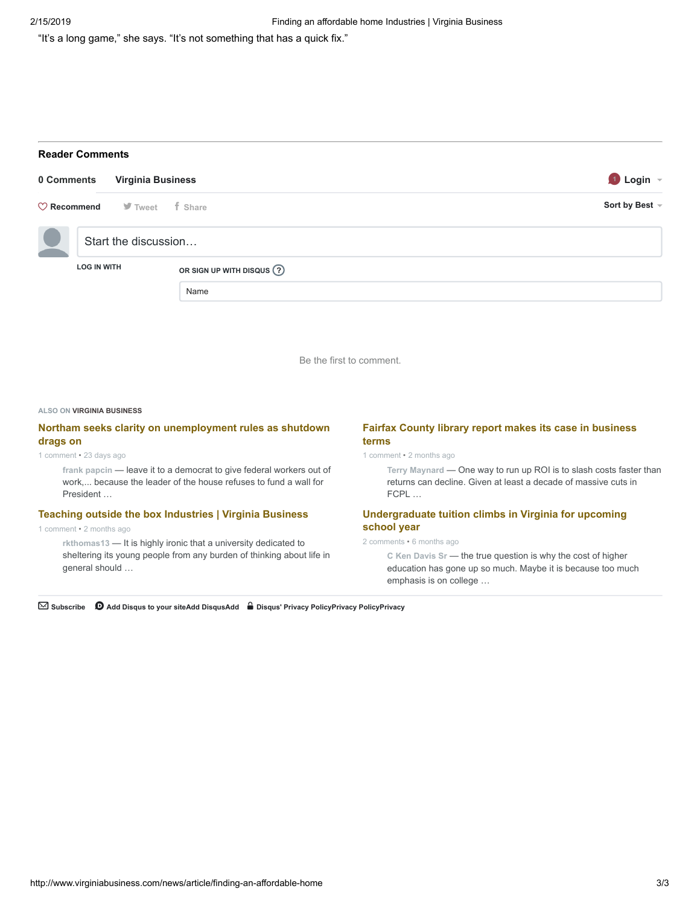"It's a long game," she says. "It's not something that has a quick fix."

# **Reader Comments**

| 0 Comments             |                      | <b>Virginia Business</b> |                              | <b>D</b> Login |
|------------------------|----------------------|--------------------------|------------------------------|----------------|
| $\heartsuit$ Recommend |                      | ■ Tweet f Share          |                              | Sort by Best ~ |
|                        | Start the discussion |                          |                              |                |
|                        | <b>LOG IN WITH</b>   |                          | OR SIGN UP WITH DISQUS $(2)$ |                |
|                        |                      |                          | Name                         |                |

Be the first to comment.

#### **ALSO ON VIRGINIA BUSINESS**

# **[Northam seeks clarity on unemployment rules as shutdown](http://disq.us/?url=http%3A%2F%2Fwww.virginiabusiness.com%2Fnews%2Farticle%2Fnortham-seeks-clarity-on-unemployment-rules-as-shutdown-drags-on&key=6-H2o1dNkXFqsMSEYHGb4A) drags on**

#### 1 comment • 23 days ago

**frank papcin** — leave it to a democrat to give federal workers out of [work,... because the leader of the house refuses to fund a wall for](http://disq.us/?url=http%3A%2F%2Fwww.virginiabusiness.com%2Fnews%2Farticle%2Fnortham-seeks-clarity-on-unemployment-rules-as-shutdown-drags-on&key=6-H2o1dNkXFqsMSEYHGb4A) President …

## **[Teaching outside the box Industries | Virginia Business](http://disq.us/?url=http%3A%2F%2Fwww.virginiabusiness.com%2Fnews%2Farticle%2Fteaching-outside-the-box&key=HxFBzzkAEfrCMAzVPbnzcA)**

### 1 comment • 2 months ago

**rkthomas13** — It is highly ironic that a university dedicated to [sheltering its young people from any burden of thinking about life in](http://disq.us/?url=http%3A%2F%2Fwww.virginiabusiness.com%2Fnews%2Farticle%2Fteaching-outside-the-box&key=HxFBzzkAEfrCMAzVPbnzcA) general should …

# **[Fairfax County library report makes its case in business](http://disq.us/?url=http%3A%2F%2Fwww.virginiabusiness.com%2Fnews%2Farticle%2Ffairfax-county-library-report-makes-its-case-in-business-terms&key=bAjhbW0cu3naqHaZoHGlrw) terms**

1 comment • 2 months ago

**Terry Maynard** — [One way to run up ROI is to slash costs faster than](http://disq.us/?url=http%3A%2F%2Fwww.virginiabusiness.com%2Fnews%2Farticle%2Ffairfax-county-library-report-makes-its-case-in-business-terms&key=bAjhbW0cu3naqHaZoHGlrw) returns can decline. Given at least a decade of massive cuts in FCPL …

## **[Undergraduate tuition climbs in Virginia for upcoming](http://disq.us/?url=http%3A%2F%2Fwww.virginiabusiness.com%2Fnews%2Farticle%2Fundergraduate-tuition-climbs-in-virginia-for-upcoming-school-year&key=lOGRj8dfkl5klqTlrGiNzA) school year**

#### 2 comments • 6 months ago

**C Ken Davis Sr** — the true question is why the cost of higher [education has gone up so much. Maybe it is because too much](http://disq.us/?url=http%3A%2F%2Fwww.virginiabusiness.com%2Fnews%2Farticle%2Fundergraduate-tuition-climbs-in-virginia-for-upcoming-school-year&key=lOGRj8dfkl5klqTlrGiNzA) emphasis is on college …

✉ **Subscribe** d **[Add Disqus to your siteAdd DisqusAdd](https://publishers.disqus.com/engage?utm_source=vbmdev&utm_medium=Disqus-Footer) [Disqus' Privacy PolicyPrivacy PolicyPrivacy](https://disqus.com/)**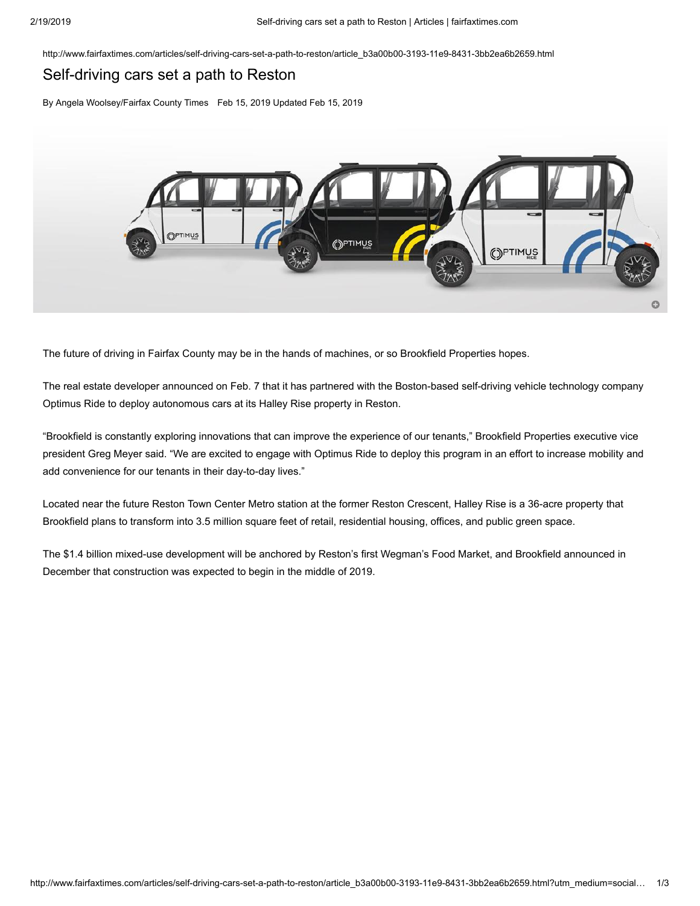http://www.fairfaxtimes.com/articles/self-driving-cars-set-a-path-to-reston/article\_b3a00b00-3193-11e9-8431-3bb2ea6b2659.html

# Self-driving cars set a path to Reston

By Angela Woolsey/Fairfax County Times Feb 15, 2019 Updated Feb 15, 2019



The future of driving in Fairfax County may be in the hands of machines, or so Brookfield Properties hopes.

The real estate developer announced on Feb. 7 that it has partnered with the Boston-based self-driving vehicle technology company Optimus Ride to deploy autonomous cars at its Halley Rise property in Reston.

"Brookfield is constantly exploring innovations that can improve the experience of our tenants," Brookfield Properties executive vice president Greg Meyer said. "We are excited to engage with Optimus Ride to deploy this program in an effort to increase mobility and add convenience for our tenants in their day-to-day lives."

Located near the future Reston Town Center Metro station at the former Reston Crescent, Halley Rise is a 36-acre property that Brookfield plans to transform into 3.5 million square feet of retail, residential housing, offices, and public green space.

The \$1.4 billion mixed-use development will be anchored by Reston's first Wegman's Food Market, and Brookfield announced in December that construction was expected to begin in the middle of 2019.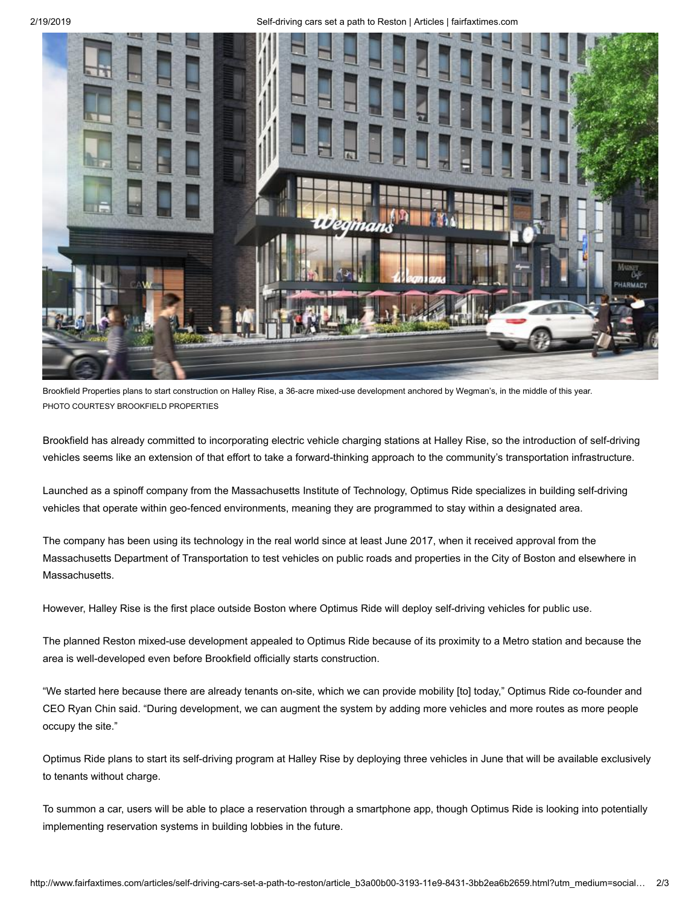2/19/2019 Self-driving cars set a path to Reston | Articles | fairfaxtimes.com



Brookfield Properties plans to start construction on Halley Rise, a 36-acre mixed-use development anchored by Wegman's, in the middle of this year. PHOTO COURTESY BROOKFIELD PROPERTIES

Brookfield has already committed to incorporating electric vehicle charging stations at Halley Rise, so the introduction of self-driving vehicles seems like an extension of that effort to take a forward-thinking approach to the community's transportation infrastructure.

Launched as a spinoff company from the Massachusetts Institute of Technology, Optimus Ride specializes in building self-driving vehicles that operate within geo-fenced environments, meaning they are programmed to stay within a designated area.

The company has been using its technology in the real world since at least June 2017, when it received approval from the Massachusetts Department of Transportation to test vehicles on public roads and properties in the City of Boston and elsewhere in Massachusetts.

However, Halley Rise is the first place outside Boston where Optimus Ride will deploy self-driving vehicles for public use.

The planned Reston mixed-use development appealed to Optimus Ride because of its proximity to a Metro station and because the area is well-developed even before Brookfield officially starts construction.

"We started here because there are already tenants on-site, which we can provide mobility [to] today," Optimus Ride co-founder and CEO Ryan Chin said. "During development, we can augment the system by adding more vehicles and more routes as more people occupy the site."

Optimus Ride plans to start its self-driving program at Halley Rise by deploying three vehicles in June that will be available exclusively to tenants without charge.

To summon a car, users will be able to place a reservation through a smartphone app, though Optimus Ride is looking into potentially implementing reservation systems in building lobbies in the future.